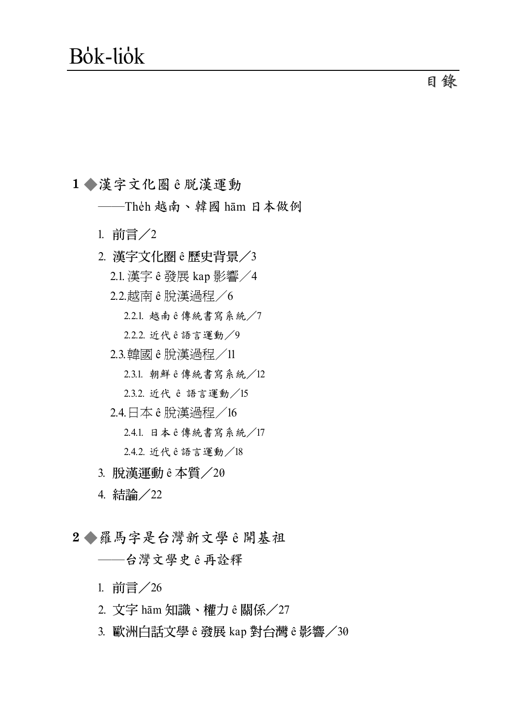1●漢字文化圈 ê 脱漢運動

--Theh 越南、韓國 hām 日本做例

- 1. 前言/2
- 2. 漢字文化圈 ê 歷史背景 / 3

2.1. 漢字 ê 發展 kap 影響 / 4

2.2. 越南 ê 脫漢過程 / 6

2.2.1. 越南ê傳統書寫系統/7

2.2.2. 近代ê語言運動/9

2.3. 韓國 ê 脫漢渦程 / 11

2.3.1. 朝鮮 ê 傳統書寫系統/12

2.3.2. 近代 ê 語言運動 / 15

2.4. 日本 ê 脫漢過程 / 16

2.4.1. 日本 ê 傳統書寫系統/17

2.4.2. 近代é語言運動/18

- 3. 脱漢運動 ê 本質/20
- 4. 結論/22
- 2◆羅馬字是台灣新文學ê開基祖

--台灣文學史ê再詮釋

1. 前言/26

- 2. 文字 hām 知識、權力 ê 關係/27
- 3. 歐洲白話文學 ê 發展 kap 對台灣 ê 影響/30

目錄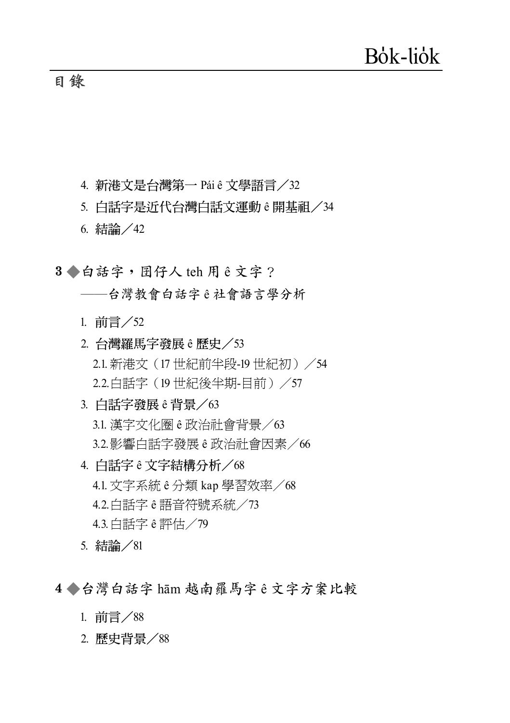## 目錄

- 4. 新港文是台灣第一 Pái ê 文學語言/32
- 5. 白話字是近代台灣白話文運動 e 開基祖 / 34
- 6. 結論 / 42
- 3●白話字, 囝仔人 teh 用 ê 文字?
	- --台灣教會白話字ê社會語言學分析
	- 1. 前言/52
	- 2. 台灣羅馬字發展 ê 歷史 / 53 2.1. 新港文 (17世紀前半段-19世紀初) /54 2.2. 白話字 (19世紀後半期-目前) /57
	- 3. 白話字發展 ê 背景 / 63 3.1. 漢字文化圈 ê 政治社會背景/63 3.2.影響白話字發展 ê 政治社會因素/66
	- 4. 白話字 ê 文字結構分析/68 4.1. 文字系統 ê 分類 kap 學習效率 / 68 4.2. 白話字 ê 語音符號系統/73 4.3. 白話字 ê 評估 / 79
	- 5. 結論/81
- 4●台灣白話字 hām 越南羅馬字ê文字方案比較
	- 1. 前言/88
	- 2. 歷史背景 / 88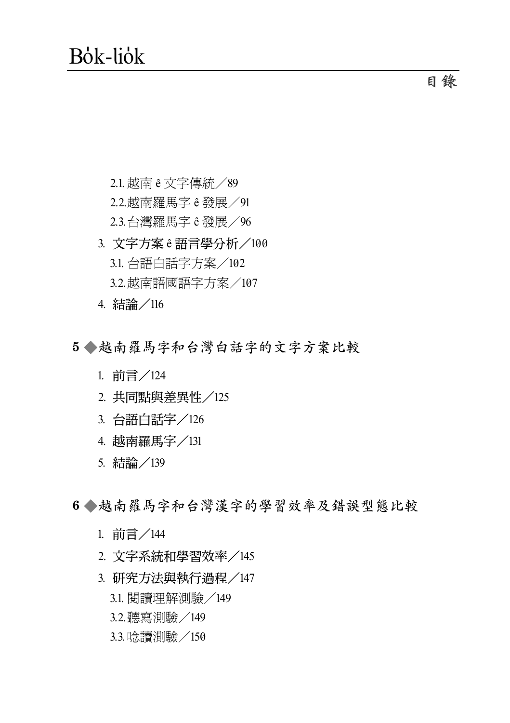2.1.越南 ê 文字傳統/89 2.2.越南羅馬字 ê 發展/91 2.3.台灣羅馬字 ê 發展/96 3. 文字方案 ê 語言學分析 /100 3.1. 台語白話字方案/102 3.2.越南語國語字方案/107

- 4. 結論/116
- 5 ◆越南羅馬字和台灣白話字的文字方案比較
	- 1. 前言/124
	- 2. 共同點與差異性/125
	- 3. 台語白話字/126
	- 4. 越南羅馬字/131
	- 5. 結論/139

6 ● 越南羅馬字和台灣漢字的學習效率及錯誤型熊比較

- 1. 前言/144
- 2. 文字系統和學習效率/145
- 3. 研究方法與執行過程/147
	- 3.1. 閱讀理解測驗/149
	- 3.2.聽寫測驗/149
	- 3.3.唸讀測驗/150

**ϫᐂ**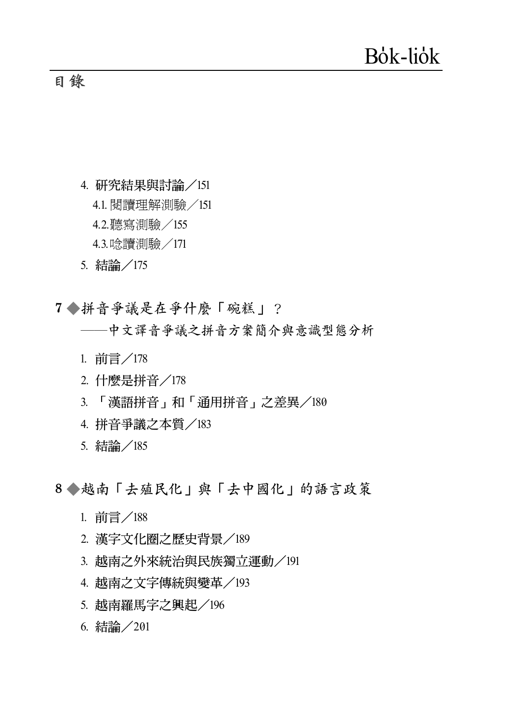## **目錄**

- 4. 研究結果與討論/151
	- 4.1. 閱讀理解測驗/151
	- 4.2.聽寫測驗/155
	- 4.3.唸讀測驗/171
- 5. 結論/175
- 7 ◆拼音爭議是在爭什麼「碗糕」?

## **——中文譯音爭議之拼音方案簡介與意識型態分析**

- 1. 前言/178
- 2. 什麼是拼音 / 178
- 3. 「漢語拼音」和「通用拼音」之差異/180
- 4. 拼音爭議之本質/183
- 5. 結論 /185

8 ◆越南「去殖民化」與「去中國化」的語言政策

- 1. 前言/188
- 2. 漢字文化圈之歷史背景/189
- 3. 越南之外來統治與民族獨立運動/191
- 4. 越南之文字傳統與變革/193
- 5. 越南羅馬字之興起/196
- 6. 結論/201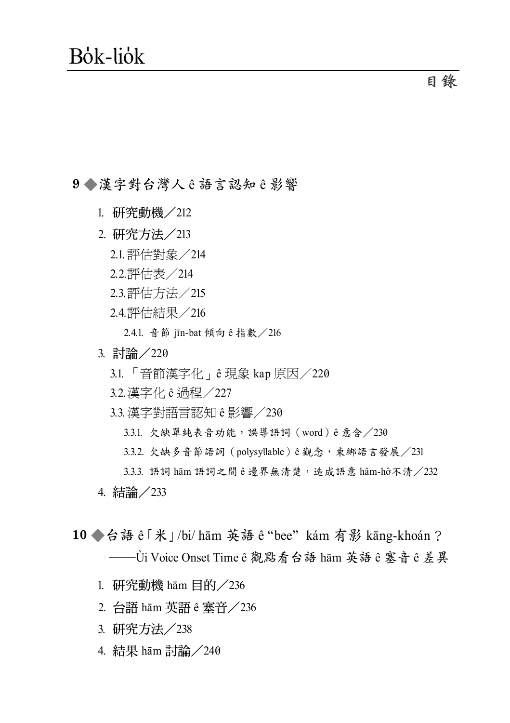#### 9◆漢字對台灣人ê語言認知ê影響

- 1. 研究動機/212
- 2. 研究方法/213
	- 2.1.評估對象/214
	- 2.2.評估表/214
	- 2.3.評估方法/215
	- 2.4.評估結果/216
		- 2.4.1. 音節 in-bat 傾向 ê 指數 / 216
- 3. 討論/220
	- 3.1. 「音節漢字化」ê 現象 kap 原因/220
	- 3.2.漢字化 ê 過程/227
	- 3.3.漢字對語言認知 ê 影響/230
		- $3.3.1.$  欠缺單純表音功能,誤導語詞(word) ê 意含/230
		- 3.3.2. 欠缺多音節語詞 (polysyllable)ê觀念, 束綁語言發展 / 231
		- $3.3.3.$  語詞 hām 語詞之間 ê 邊界無清楚,造成語意 hâm-hô不清  $/232$
- 4. 結論 / 233
- 10 ◆台語 ê 「米」/bi/ hām 英語 ê "bee" kám 有影 kāng-khoán? **–––––––––**Ùi Voice Onset Time ê 觀點看台語 hām 英語 ê 塞音 ê 差異
	- 1. 研究動機 hām 目的  $\angle$ 236
	- 2. 台語 hām 英語 ê 寒音 / 236
	- 3. 研究方法/238
	- 4. 結果 hām 討論 / 240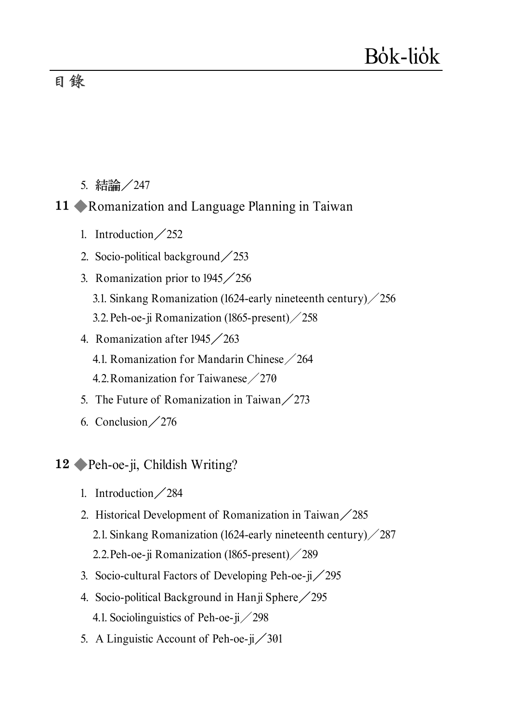# Bõk-liõk

## **目錄**

5. 結論 / 247

#### **11 ◆Romanization and Language Planning in Taiwan**

- 1. Introduction  $\angle$  252
- 2. Socio-political background  $\angle$ 253
- 3. Romanization prior to  $1945 \diagup 256$ 3.1. Sinkang Romanization (1624-early nineteenth century)  $\angle$  256 3.2.Peh-oe-ji Romanization (1865-present)/258
- 4. Romanization after  $1945 \diagup 263$ 4.1. Romanization for Mandarin Chinese/264 4.2.Romanization for Taiwanese/270
- 5. The Future of Romanization in Taiwan $\angle$ 273
- 6. Conclusion  $\angle$  276
- **12 ◆ Peh-oe-ji, Childish Writing?** 
	- 1. Introduction  $\angle$  284
	- 2. Historical Development of Romanization in Taiwan $\angle$ 285 2.1. Sinkang Romanization (1624-early nineteenth century)  $\angle$  287 2.2.Peh-oe-ji Romanization (1865-present)/289
	- 3. Socio-cultural Factors of Developing Peh-oe-ji $\frac{295}{295}$
	- 4. Socio-political Background in Hanji Sphere  $\angle$  295 4.1. Sociolinguistics of Peh-oe-ji $\angle$ 298
	- 5. A Linguistic Account of Peh-oe- $\mu$  / 301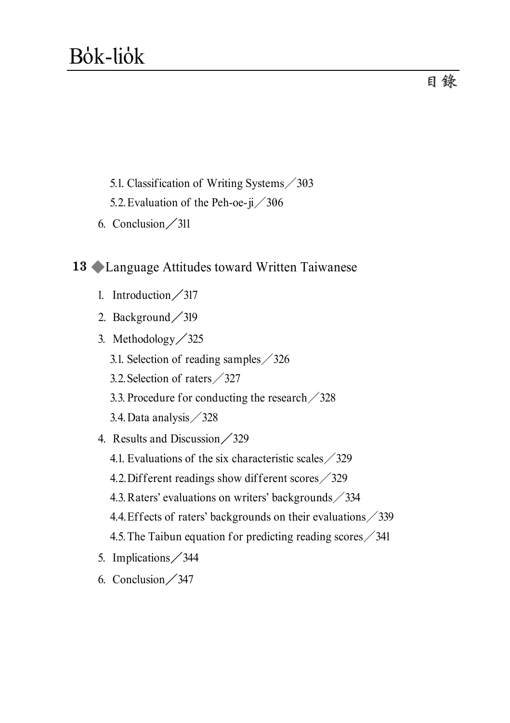- 5.1. Classification of Writing Systems/303
- 5.2. Evaluation of the Peh-oe-ji $\frac{306}{306}$
- 6. Conclusion  $\angle$ 311

## **13 ◆Language Attitudes toward Written Taiwanese**

- 1. Introduction  $\frac{317}{317}$
- 2. Background / 319
- 3. Methodology / 325
	- 3.1. Selection of reading samples/326
	- 3.2.Selection of raters/327
	- 3.3. Procedure for conducting the research/328
	- 3.4.Data analysis/328
- 4. Results and Discussion / 329
	- 4.1. Evaluations of the six characteristic scales  $\angle$  329
	- 4.2.Different readings show different scores/329
	- 4.3. Raters' evaluations on writers' backgrounds / 334
	- 4.4.Effects of raters' backgrounds on their evaluations/339
	- 4.5.The Taibun equation for predicting reading scores/341
- 5. Implications / 344
- 6. Conclusion  $\frac{347}{347}$